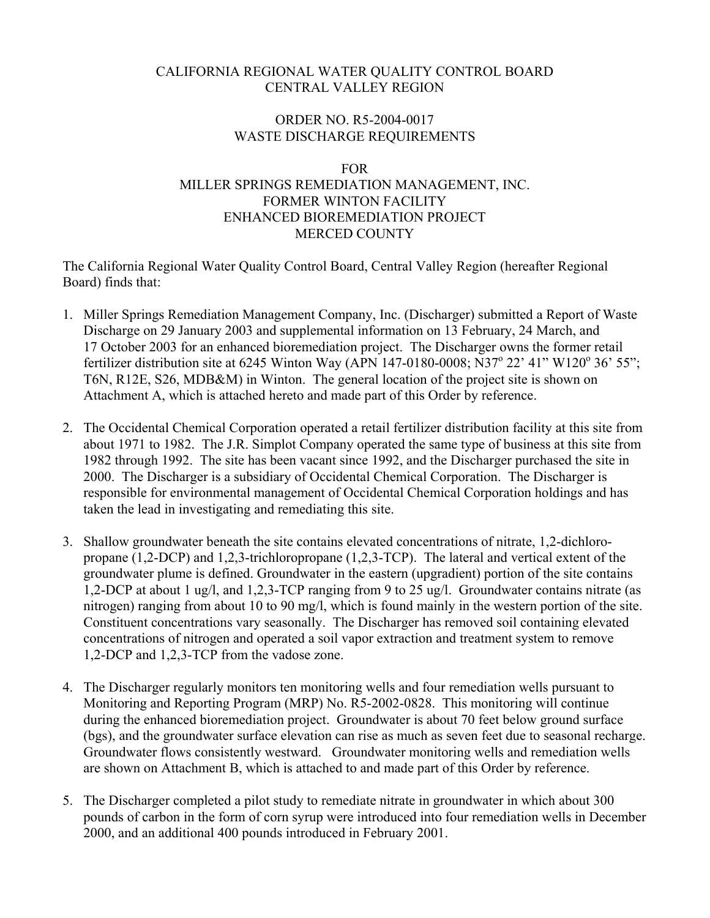#### CALIFORNIA REGIONAL WATER QUALITY CONTROL BOARD CENTRAL VALLEY REGION

#### ORDER NO. R5-2004-0017 WASTE DISCHARGE REQUIREMENTS

#### FOR

## MILLER SPRINGS REMEDIATION MANAGEMENT, INC. FORMER WINTON FACILITY ENHANCED BIOREMEDIATION PROJECT MERCED COUNTY

The California Regional Water Quality Control Board, Central Valley Region (hereafter Regional Board) finds that:

- 1. Miller Springs Remediation Management Company, Inc. (Discharger) submitted a Report of Waste Discharge on 29 January 2003 and supplemental information on 13 February, 24 March, and 17 October 2003 for an enhanced bioremediation project. The Discharger owns the former retail fertilizer distribution site at 6245 Winton Way (APN 147-0180-0008; N37<sup>°</sup> 22' 41" W120<sup>°</sup> 36' 55"; T6N, R12E, S26, MDB&M) in Winton. The general location of the project site is shown on Attachment A, which is attached hereto and made part of this Order by reference.
- 2. The Occidental Chemical Corporation operated a retail fertilizer distribution facility at this site from about 1971 to 1982. The J.R. Simplot Company operated the same type of business at this site from 1982 through 1992. The site has been vacant since 1992, and the Discharger purchased the site in 2000. The Discharger is a subsidiary of Occidental Chemical Corporation. The Discharger is responsible for environmental management of Occidental Chemical Corporation holdings and has taken the lead in investigating and remediating this site.
- 3. Shallow groundwater beneath the site contains elevated concentrations of nitrate, 1,2-dichloropropane (1,2-DCP) and 1,2,3-trichloropropane (1,2,3-TCP). The lateral and vertical extent of the groundwater plume is defined. Groundwater in the eastern (upgradient) portion of the site contains 1,2-DCP at about 1 ug/l, and 1,2,3-TCP ranging from 9 to 25 ug/l. Groundwater contains nitrate (as nitrogen) ranging from about 10 to 90 mg/l, which is found mainly in the western portion of the site. Constituent concentrations vary seasonally. The Discharger has removed soil containing elevated concentrations of nitrogen and operated a soil vapor extraction and treatment system to remove 1,2-DCP and 1,2,3-TCP from the vadose zone.
- 4. The Discharger regularly monitors ten monitoring wells and four remediation wells pursuant to Monitoring and Reporting Program (MRP) No. R5-2002-0828. This monitoring will continue during the enhanced bioremediation project. Groundwater is about 70 feet below ground surface (bgs), and the groundwater surface elevation can rise as much as seven feet due to seasonal recharge. Groundwater flows consistently westward. Groundwater monitoring wells and remediation wells are shown on Attachment B, which is attached to and made part of this Order by reference.
- 5. The Discharger completed a pilot study to remediate nitrate in groundwater in which about 300 pounds of carbon in the form of corn syrup were introduced into four remediation wells in December 2000, and an additional 400 pounds introduced in February 2001.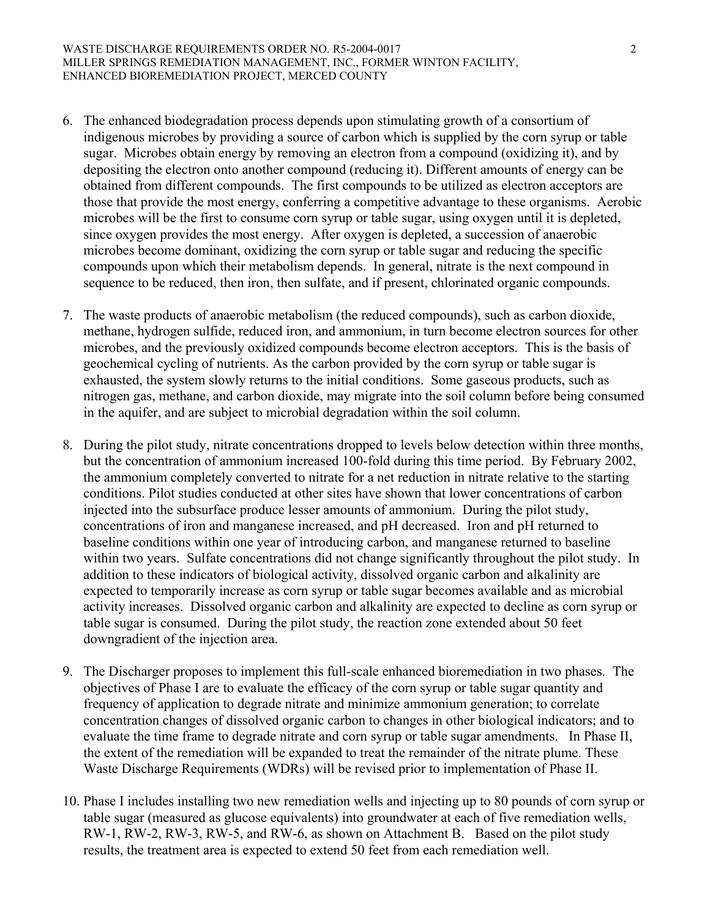- 6. The enhanced biodegradation process depends upon stimulating growth of a consortium of indigenous microbes by providing a source of carbon which is supplied by the corn syrup or table sugar. Microbes obtain energy by removing an electron from a compound (oxidizing it), and by depositing the electron onto another compound (reducing it). Different amounts of energy can be obtained from different compounds. The first compounds to be utilized as electron acceptors are those that provide the most energy, conferring a competitive advantage to these organisms. Aerobic microbes will be the first to consume corn syrup or table sugar, using oxygen until it is depleted, since oxygen provides the most energy. After oxygen is depleted, a succession of anaerobic microbes become dominant, oxidizing the corn syrup or table sugar and reducing the specific compounds upon which their metabolism depends. In general, nitrate is the next compound in sequence to be reduced, then iron, then sulfate, and if present, chlorinated organic compounds.
- 7. The waste products of anaerobic metabolism (the reduced compounds), such as carbon dioxide, methane, hydrogen sulfide, reduced iron, and ammonium, in turn become electron sources for other microbes, and the previously oxidized compounds become electron acceptors. This is the basis of geochemical cycling of nutrients. As the carbon provided by the corn syrup or table sugar is exhausted, the system slowly returns to the initial conditions. Some gaseous products, such as nitrogen gas, methane, and carbon dioxide, may migrate into the soil column before being consumed in the aquifer, and are subject to microbial degradation within the soil column.
- 8. During the pilot study, nitrate concentrations dropped to levels below detection within three months, but the concentration of ammonium increased 100-fold during this time period. By February 2002, the ammonium completely converted to nitrate for a net reduction in nitrate relative to the starting conditions. Pilot studies conducted at other sites have shown that lower concentrations of carbon injected into the subsurface produce lesser amounts of ammonium. During the pilot study, concentrations of iron and manganese increased, and pH decreased. Iron and pH returned to baseline conditions within one year of introducing carbon, and manganese returned to baseline within two years. Sulfate concentrations did not change significantly throughout the pilot study. In addition to these indicators of biological activity, dissolved organic carbon and alkalinity are expected to temporarily increase as corn syrup or table sugar becomes available and as microbial activity increases. Dissolved organic carbon and alkalinity are expected to decline as corn syrup or table sugar is consumed. During the pilot study, the reaction zone extended about 50 feet downgradient of the injection area.
- 9. The Discharger proposes to implement this full-scale enhanced bioremediation in two phases. The objectives of Phase I are to evaluate the efficacy of the corn syrup or table sugar quantity and frequency of application to degrade nitrate and minimize ammonium generation; to correlate concentration changes of dissolved organic carbon to changes in other biological indicators; and to evaluate the time frame to degrade nitrate and corn syrup or table sugar amendments. In Phase II, the extent of the remediation will be expanded to treat the remainder of the nitrate plume. These Waste Discharge Requirements (WDRs) will be revised prior to implementation of Phase II.
- 10. Phase I includes installing two new remediation wells and injecting up to 80 pounds of corn syrup or table sugar (measured as glucose equivalents) into groundwater at each of five remediation wells, RW-1, RW-2, RW-3, RW-5, and RW-6, as shown on Attachment B. Based on the pilot study results, the treatment area is expected to extend 50 feet from each remediation well.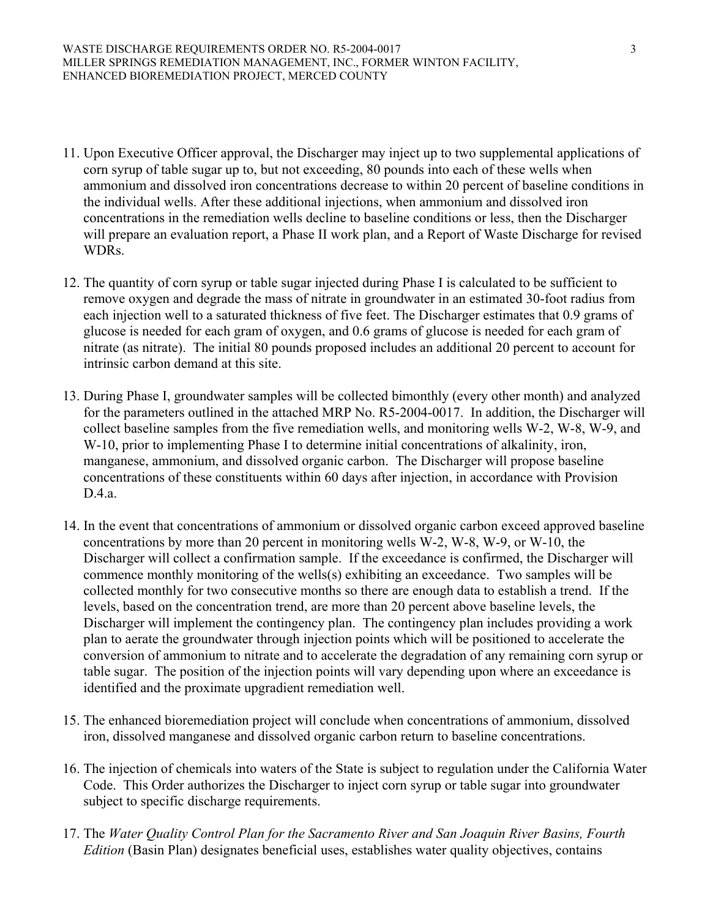- 11. Upon Executive Officer approval, the Discharger may inject up to two supplemental applications of corn syrup of table sugar up to, but not exceeding, 80 pounds into each of these wells when ammonium and dissolved iron concentrations decrease to within 20 percent of baseline conditions in the individual wells. After these additional injections, when ammonium and dissolved iron concentrations in the remediation wells decline to baseline conditions or less, then the Discharger will prepare an evaluation report, a Phase II work plan, and a Report of Waste Discharge for revised WDRs.
- 12. The quantity of corn syrup or table sugar injected during Phase I is calculated to be sufficient to remove oxygen and degrade the mass of nitrate in groundwater in an estimated 30-foot radius from each injection well to a saturated thickness of five feet. The Discharger estimates that 0.9 grams of glucose is needed for each gram of oxygen, and 0.6 grams of glucose is needed for each gram of nitrate (as nitrate). The initial 80 pounds proposed includes an additional 20 percent to account for intrinsic carbon demand at this site.
- 13. During Phase I, groundwater samples will be collected bimonthly (every other month) and analyzed for the parameters outlined in the attached MRP No. R5-2004-0017. In addition, the Discharger will collect baseline samples from the five remediation wells, and monitoring wells W-2, W-8, W-9, and W-10, prior to implementing Phase I to determine initial concentrations of alkalinity, iron, manganese, ammonium, and dissolved organic carbon. The Discharger will propose baseline concentrations of these constituents within 60 days after injection, in accordance with Provision D.4.a.
- 14. In the event that concentrations of ammonium or dissolved organic carbon exceed approved baseline concentrations by more than 20 percent in monitoring wells W-2, W-8, W-9, or W-10, the Discharger will collect a confirmation sample. If the exceedance is confirmed, the Discharger will commence monthly monitoring of the wells(s) exhibiting an exceedance. Two samples will be collected monthly for two consecutive months so there are enough data to establish a trend. If the levels, based on the concentration trend, are more than 20 percent above baseline levels, the Discharger will implement the contingency plan. The contingency plan includes providing a work plan to aerate the groundwater through injection points which will be positioned to accelerate the conversion of ammonium to nitrate and to accelerate the degradation of any remaining corn syrup or table sugar. The position of the injection points will vary depending upon where an exceedance is identified and the proximate upgradient remediation well.
- 15. The enhanced bioremediation project will conclude when concentrations of ammonium, dissolved iron, dissolved manganese and dissolved organic carbon return to baseline concentrations.
- 16. The injection of chemicals into waters of the State is subject to regulation under the California Water Code. This Order authorizes the Discharger to inject corn syrup or table sugar into groundwater subject to specific discharge requirements.
- 17. The *Water Quality Control Plan for the Sacramento River and San Joaquin River Basins, Fourth Edition* (Basin Plan) designates beneficial uses, establishes water quality objectives, contains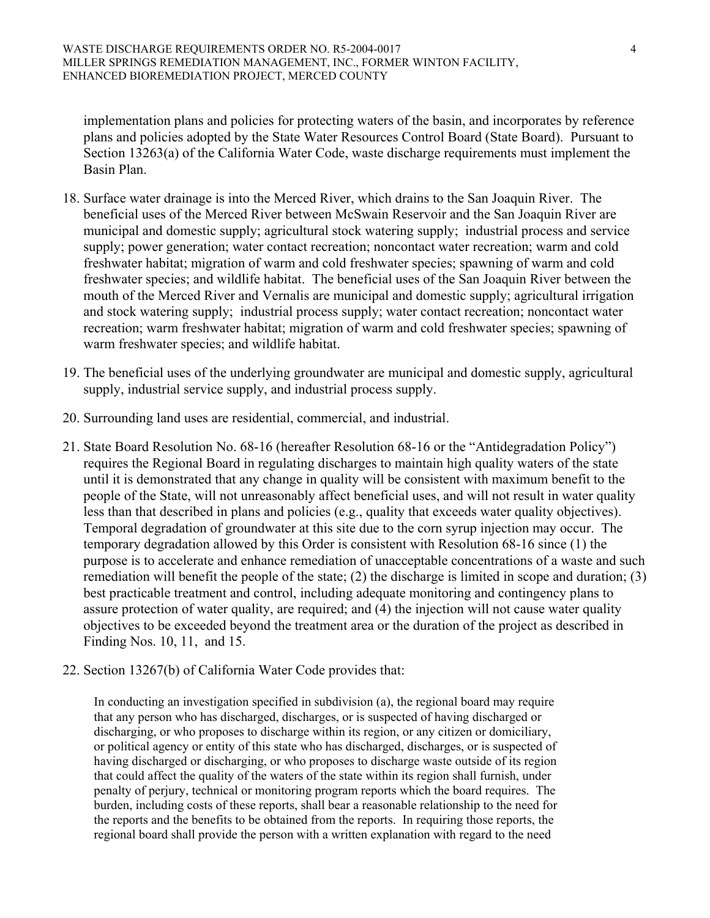implementation plans and policies for protecting waters of the basin, and incorporates by reference plans and policies adopted by the State Water Resources Control Board (State Board). Pursuant to Section 13263(a) of the California Water Code, waste discharge requirements must implement the Basin Plan.

- 18. Surface water drainage is into the Merced River, which drains to the San Joaquin River. The beneficial uses of the Merced River between McSwain Reservoir and the San Joaquin River are municipal and domestic supply; agricultural stock watering supply; industrial process and service supply; power generation; water contact recreation; noncontact water recreation; warm and cold freshwater habitat; migration of warm and cold freshwater species; spawning of warm and cold freshwater species; and wildlife habitat. The beneficial uses of the San Joaquin River between the mouth of the Merced River and Vernalis are municipal and domestic supply; agricultural irrigation and stock watering supply; industrial process supply; water contact recreation; noncontact water recreation; warm freshwater habitat; migration of warm and cold freshwater species; spawning of warm freshwater species; and wildlife habitat.
- 19. The beneficial uses of the underlying groundwater are municipal and domestic supply, agricultural supply, industrial service supply, and industrial process supply.
- 20. Surrounding land uses are residential, commercial, and industrial.
- 21. State Board Resolution No. 68-16 (hereafter Resolution 68-16 or the "Antidegradation Policy") requires the Regional Board in regulating discharges to maintain high quality waters of the state until it is demonstrated that any change in quality will be consistent with maximum benefit to the people of the State, will not unreasonably affect beneficial uses, and will not result in water quality less than that described in plans and policies (e.g., quality that exceeds water quality objectives). Temporal degradation of groundwater at this site due to the corn syrup injection may occur. The temporary degradation allowed by this Order is consistent with Resolution 68-16 since (1) the purpose is to accelerate and enhance remediation of unacceptable concentrations of a waste and such remediation will benefit the people of the state; (2) the discharge is limited in scope and duration; (3) best practicable treatment and control, including adequate monitoring and contingency plans to assure protection of water quality, are required; and (4) the injection will not cause water quality objectives to be exceeded beyond the treatment area or the duration of the project as described in Finding Nos. 10, 11, and 15.
- 22. Section 13267(b) of California Water Code provides that:

In conducting an investigation specified in subdivision (a), the regional board may require that any person who has discharged, discharges, or is suspected of having discharged or discharging, or who proposes to discharge within its region, or any citizen or domiciliary, or political agency or entity of this state who has discharged, discharges, or is suspected of having discharged or discharging, or who proposes to discharge waste outside of its region that could affect the quality of the waters of the state within its region shall furnish, under penalty of perjury, technical or monitoring program reports which the board requires. The burden, including costs of these reports, shall bear a reasonable relationship to the need for the reports and the benefits to be obtained from the reports. In requiring those reports, the regional board shall provide the person with a written explanation with regard to the need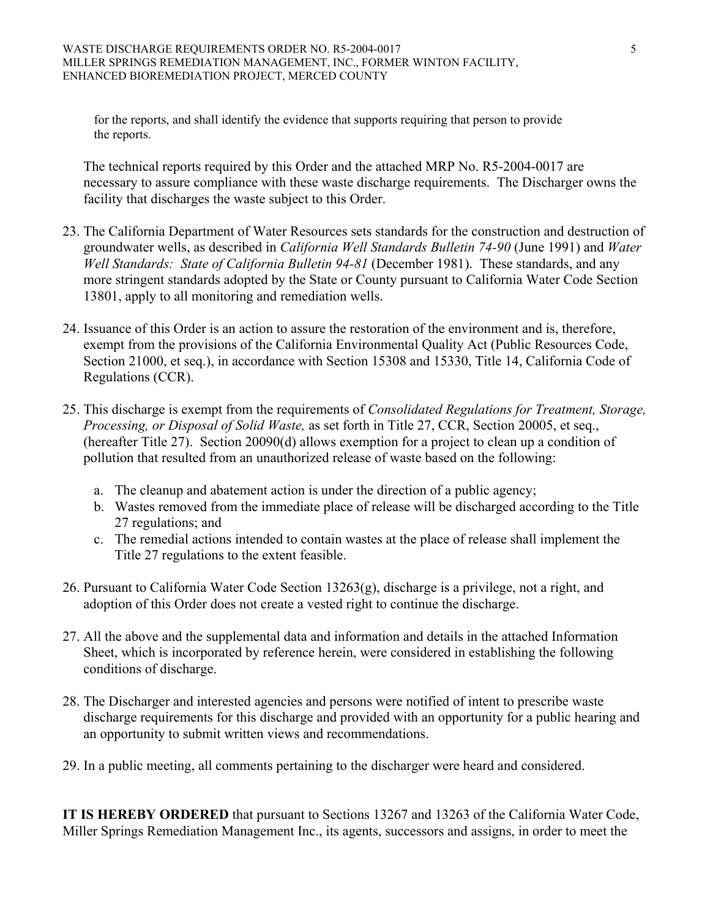for the reports, and shall identify the evidence that supports requiring that person to provide the reports.

 The technical reports required by this Order and the attached MRP No. R5-2004-0017 are necessary to assure compliance with these waste discharge requirements. The Discharger owns the facility that discharges the waste subject to this Order.

- 23. The California Department of Water Resources sets standards for the construction and destruction of groundwater wells, as described in *California Well Standards Bulletin 74-90* (June 1991) and *Water Well Standards: State of California Bulletin 94-81* (December 1981). These standards, and any more stringent standards adopted by the State or County pursuant to California Water Code Section 13801, apply to all monitoring and remediation wells.
- 24. Issuance of this Order is an action to assure the restoration of the environment and is, therefore, exempt from the provisions of the California Environmental Quality Act (Public Resources Code, Section 21000, et seq.), in accordance with Section 15308 and 15330, Title 14, California Code of Regulations (CCR).
- 25. This discharge is exempt from the requirements of *Consolidated Regulations for Treatment, Storage, Processing, or Disposal of Solid Waste,* as set forth in Title 27, CCR, Section 20005, et seq., (hereafter Title 27). Section 20090(d) allows exemption for a project to clean up a condition of pollution that resulted from an unauthorized release of waste based on the following:
	- a. The cleanup and abatement action is under the direction of a public agency;
	- b. Wastes removed from the immediate place of release will be discharged according to the Title 27 regulations; and
	- c. The remedial actions intended to contain wastes at the place of release shall implement the Title 27 regulations to the extent feasible.
- 26. Pursuant to California Water Code Section 13263(g), discharge is a privilege, not a right, and adoption of this Order does not create a vested right to continue the discharge.
- 27. All the above and the supplemental data and information and details in the attached Information Sheet, which is incorporated by reference herein, were considered in establishing the following conditions of discharge.
- 28. The Discharger and interested agencies and persons were notified of intent to prescribe waste discharge requirements for this discharge and provided with an opportunity for a public hearing and an opportunity to submit written views and recommendations.
- 29. In a public meeting, all comments pertaining to the discharger were heard and considered.

**IT IS HEREBY ORDERED** that pursuant to Sections 13267 and 13263 of the California Water Code, Miller Springs Remediation Management Inc., its agents, successors and assigns, in order to meet the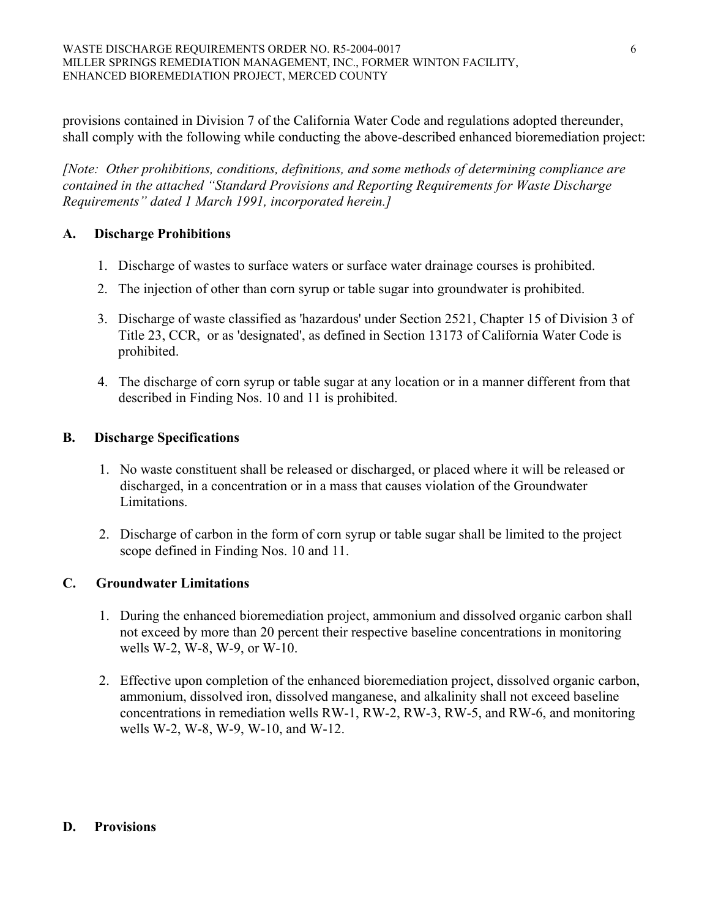provisions contained in Division 7 of the California Water Code and regulations adopted thereunder, shall comply with the following while conducting the above-described enhanced bioremediation project:

*[Note: Other prohibitions, conditions, definitions, and some methods of determining compliance are contained in the attached "Standard Provisions and Reporting Requirements for Waste Discharge Requirements" dated 1 March 1991, incorporated herein.]* 

## **A. Discharge Prohibitions**

- 1. Discharge of wastes to surface waters or surface water drainage courses is prohibited.
- 2. The injection of other than corn syrup or table sugar into groundwater is prohibited.
- 3. Discharge of waste classified as 'hazardous' under Section 2521, Chapter 15 of Division 3 of Title 23, CCR, or as 'designated', as defined in Section 13173 of California Water Code is prohibited.
- 4. The discharge of corn syrup or table sugar at any location or in a manner different from that described in Finding Nos. 10 and 11 is prohibited.

## **B. Discharge Specifications**

- 1. No waste constituent shall be released or discharged, or placed where it will be released or discharged, in a concentration or in a mass that causes violation of the Groundwater Limitations.
- 2. Discharge of carbon in the form of corn syrup or table sugar shall be limited to the project scope defined in Finding Nos. 10 and 11.

## **C. Groundwater Limitations**

- 1. During the enhanced bioremediation project, ammonium and dissolved organic carbon shall not exceed by more than 20 percent their respective baseline concentrations in monitoring wells W-2, W-8, W-9, or W-10.
- 2. Effective upon completion of the enhanced bioremediation project, dissolved organic carbon, ammonium, dissolved iron, dissolved manganese, and alkalinity shall not exceed baseline concentrations in remediation wells RW-1, RW-2, RW-3, RW-5, and RW-6, and monitoring wells W-2, W-8, W-9, W-10, and W-12.

#### **D. Provisions**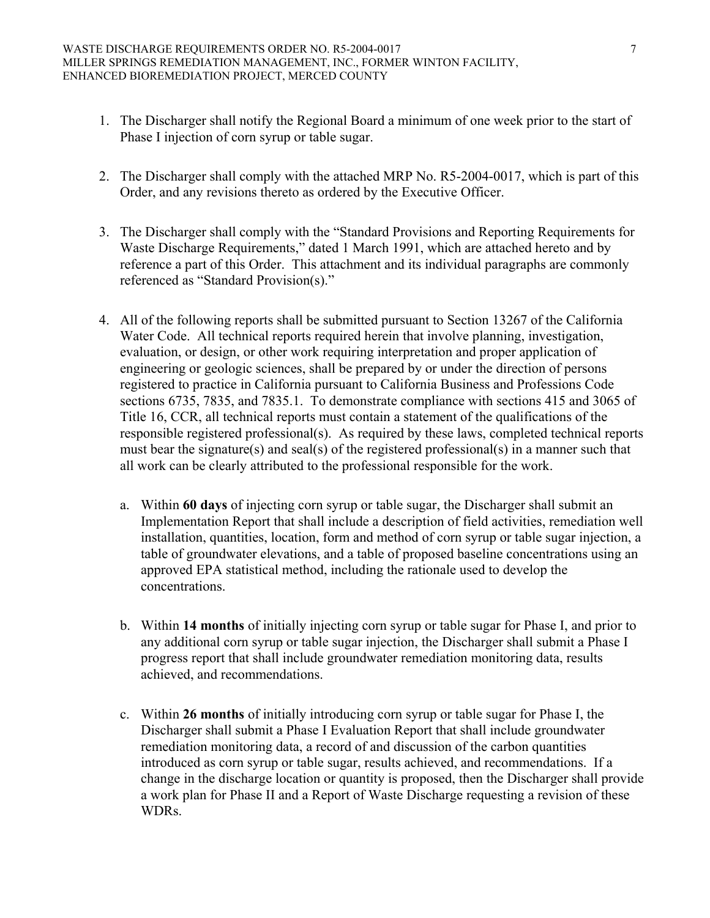- 1. The Discharger shall notify the Regional Board a minimum of one week prior to the start of Phase I injection of corn syrup or table sugar.
- 2. The Discharger shall comply with the attached MRP No. R5-2004-0017, which is part of this Order, and any revisions thereto as ordered by the Executive Officer.
- 3. The Discharger shall comply with the "Standard Provisions and Reporting Requirements for Waste Discharge Requirements," dated 1 March 1991, which are attached hereto and by reference a part of this Order. This attachment and its individual paragraphs are commonly referenced as "Standard Provision(s)."
- 4. All of the following reports shall be submitted pursuant to Section 13267 of the California Water Code. All technical reports required herein that involve planning, investigation, evaluation, or design, or other work requiring interpretation and proper application of engineering or geologic sciences, shall be prepared by or under the direction of persons registered to practice in California pursuant to California Business and Professions Code sections 6735, 7835, and 7835.1. To demonstrate compliance with sections 415 and 3065 of Title 16, CCR, all technical reports must contain a statement of the qualifications of the responsible registered professional(s). As required by these laws, completed technical reports must bear the signature(s) and seal(s) of the registered professional(s) in a manner such that all work can be clearly attributed to the professional responsible for the work.
	- a. Within **60 days** of injecting corn syrup or table sugar, the Discharger shall submit an Implementation Report that shall include a description of field activities, remediation well installation, quantities, location, form and method of corn syrup or table sugar injection, a table of groundwater elevations, and a table of proposed baseline concentrations using an approved EPA statistical method, including the rationale used to develop the concentrations.
	- b. Within **14 months** of initially injecting corn syrup or table sugar for Phase I, and prior to any additional corn syrup or table sugar injection, the Discharger shall submit a Phase I progress report that shall include groundwater remediation monitoring data, results achieved, and recommendations.
	- c. Within **26 months** of initially introducing corn syrup or table sugar for Phase I, the Discharger shall submit a Phase I Evaluation Report that shall include groundwater remediation monitoring data, a record of and discussion of the carbon quantities introduced as corn syrup or table sugar, results achieved, and recommendations. If a change in the discharge location or quantity is proposed, then the Discharger shall provide a work plan for Phase II and a Report of Waste Discharge requesting a revision of these WDRs.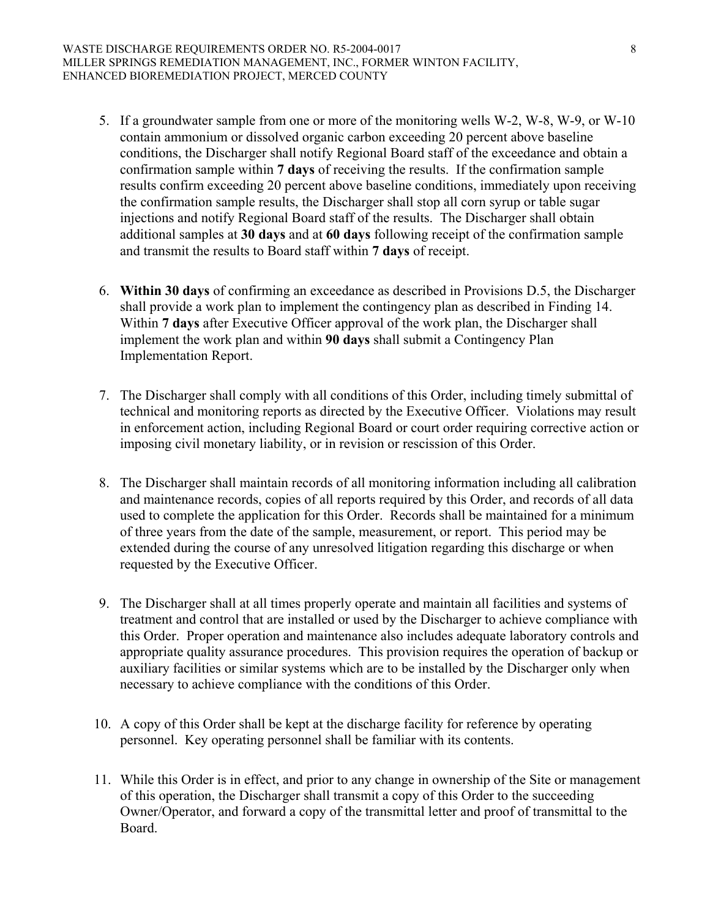- 5. If a groundwater sample from one or more of the monitoring wells W-2, W-8, W-9, or W-10 contain ammonium or dissolved organic carbon exceeding 20 percent above baseline conditions, the Discharger shall notify Regional Board staff of the exceedance and obtain a confirmation sample within **7 days** of receiving the results. If the confirmation sample results confirm exceeding 20 percent above baseline conditions, immediately upon receiving the confirmation sample results, the Discharger shall stop all corn syrup or table sugar injections and notify Regional Board staff of the results. The Discharger shall obtain additional samples at **30 days** and at **60 days** following receipt of the confirmation sample and transmit the results to Board staff within **7 days** of receipt.
- 6. **Within 30 days** of confirming an exceedance as described in Provisions D.5, the Discharger shall provide a work plan to implement the contingency plan as described in Finding 14. Within **7 days** after Executive Officer approval of the work plan, the Discharger shall implement the work plan and within **90 days** shall submit a Contingency Plan Implementation Report.
- 7. The Discharger shall comply with all conditions of this Order, including timely submittal of technical and monitoring reports as directed by the Executive Officer. Violations may result in enforcement action, including Regional Board or court order requiring corrective action or imposing civil monetary liability, or in revision or rescission of this Order.
- 8. The Discharger shall maintain records of all monitoring information including all calibration and maintenance records, copies of all reports required by this Order, and records of all data used to complete the application for this Order. Records shall be maintained for a minimum of three years from the date of the sample, measurement, or report. This period may be extended during the course of any unresolved litigation regarding this discharge or when requested by the Executive Officer.
- 9. The Discharger shall at all times properly operate and maintain all facilities and systems of treatment and control that are installed or used by the Discharger to achieve compliance with this Order. Proper operation and maintenance also includes adequate laboratory controls and appropriate quality assurance procedures. This provision requires the operation of backup or auxiliary facilities or similar systems which are to be installed by the Discharger only when necessary to achieve compliance with the conditions of this Order.
- 10. A copy of this Order shall be kept at the discharge facility for reference by operating personnel. Key operating personnel shall be familiar with its contents.
- 11. While this Order is in effect, and prior to any change in ownership of the Site or management of this operation, the Discharger shall transmit a copy of this Order to the succeeding Owner/Operator, and forward a copy of the transmittal letter and proof of transmittal to the Board.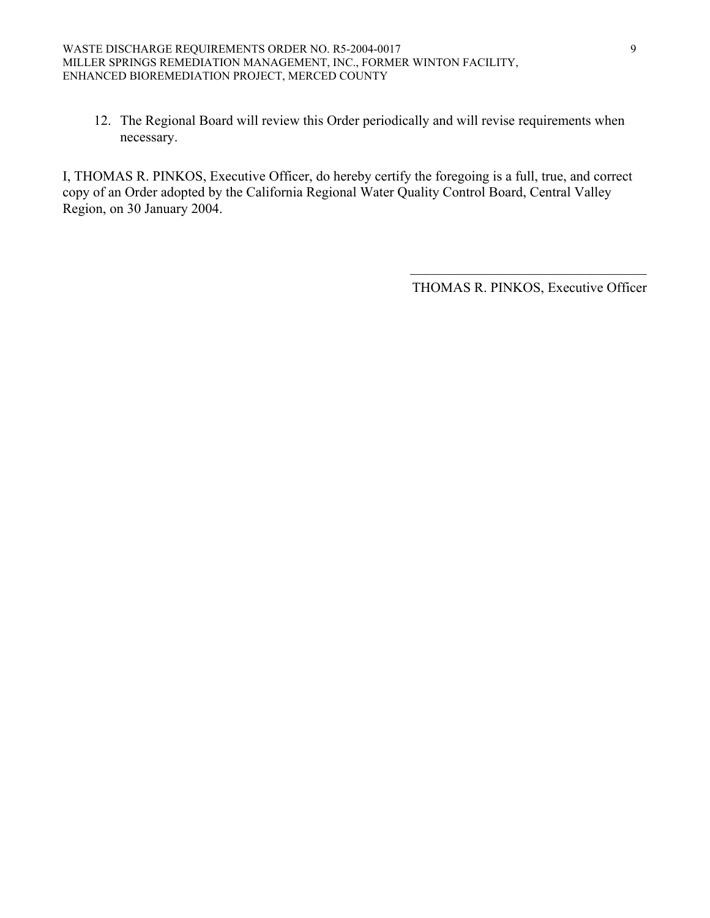12. The Regional Board will review this Order periodically and will revise requirements when necessary.

I, THOMAS R. PINKOS, Executive Officer, do hereby certify the foregoing is a full, true, and correct copy of an Order adopted by the California Regional Water Quality Control Board, Central Valley Region, on 30 January 2004.

> $\mathcal{L}_\text{max}$  , and the set of the set of the set of the set of the set of the set of the set of the set of the set of the set of the set of the set of the set of the set of the set of the set of the set of the set of the THOMAS R. PINKOS, Executive Officer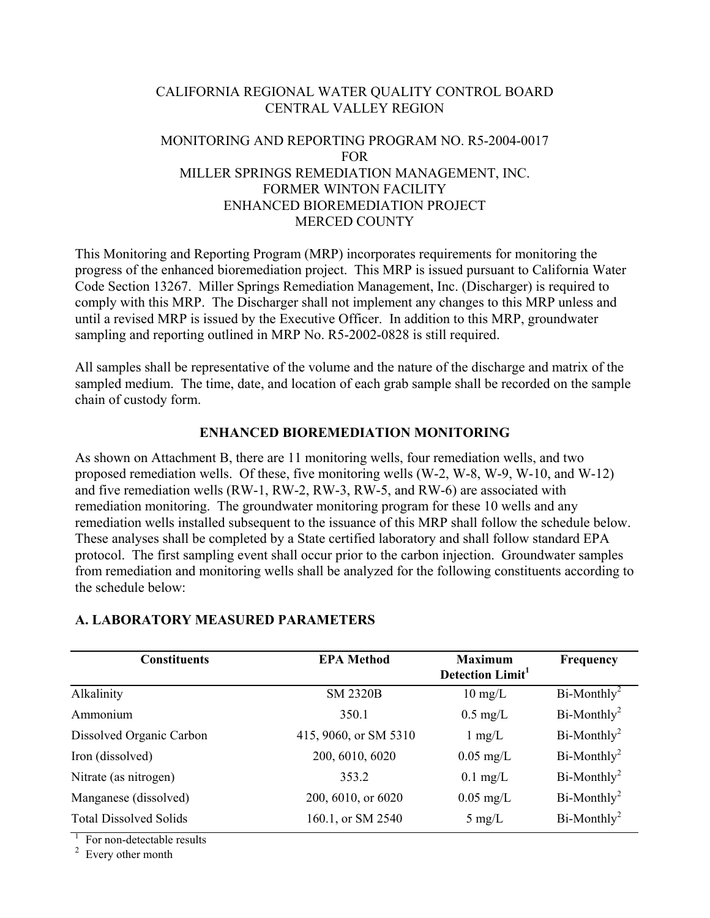### CALIFORNIA REGIONAL WATER QUALITY CONTROL BOARD CENTRAL VALLEY REGION

### MONITORING AND REPORTING PROGRAM NO. R5-2004-0017 FOR MILLER SPRINGS REMEDIATION MANAGEMENT, INC. FORMER WINTON FACILITY ENHANCED BIOREMEDIATION PROJECT MERCED COUNTY

This Monitoring and Reporting Program (MRP) incorporates requirements for monitoring the progress of the enhanced bioremediation project. This MRP is issued pursuant to California Water Code Section 13267. Miller Springs Remediation Management, Inc. (Discharger) is required to comply with this MRP. The Discharger shall not implement any changes to this MRP unless and until a revised MRP is issued by the Executive Officer. In addition to this MRP, groundwater sampling and reporting outlined in MRP No. R5-2002-0828 is still required.

All samples shall be representative of the volume and the nature of the discharge and matrix of the sampled medium. The time, date, and location of each grab sample shall be recorded on the sample chain of custody form.

#### **ENHANCED BIOREMEDIATION MONITORING**

As shown on Attachment B, there are 11 monitoring wells, four remediation wells, and two proposed remediation wells. Of these, five monitoring wells (W-2, W-8, W-9, W-10, and W-12) and five remediation wells (RW-1, RW-2, RW-3, RW-5, and RW-6) are associated with remediation monitoring. The groundwater monitoring program for these 10 wells and any remediation wells installed subsequent to the issuance of this MRP shall follow the schedule below. These analyses shall be completed by a State certified laboratory and shall follow standard EPA protocol. The first sampling event shall occur prior to the carbon injection. Groundwater samples from remediation and monitoring wells shall be analyzed for the following constituents according to the schedule below:

#### **A. LABORATORY MEASURED PARAMETERS**

| <b>Constituents</b>           | <b>EPA Method</b>     | <b>Maximum</b><br><b>Detection Limit</b> <sup>1</sup> | Frequency      |
|-------------------------------|-----------------------|-------------------------------------------------------|----------------|
| Alkalinity                    | <b>SM 2320B</b>       | $10 \text{ mg/L}$                                     | $Bi-Monthly^2$ |
| Ammonium                      | 350.1                 | $0.5 \text{ mg/L}$                                    | $Bi-Monthly2$  |
| Dissolved Organic Carbon      | 415, 9060, or SM 5310 | $1 \text{ mg/L}$                                      | $Bi-Monthly2$  |
| Iron (dissolved)              | 200, 6010, 6020       | $0.05$ mg/L                                           | $Bi-Monthly2$  |
| Nitrate (as nitrogen)         | 353.2                 | $0.1 \text{ mg/L}$                                    | $Bi-Monthly2$  |
| Manganese (dissolved)         | 200, 6010, or 6020    | $0.05$ mg/L                                           | $Bi-Monthly2$  |
| <b>Total Dissolved Solids</b> | 160.1, or SM 2540     | $5 \text{ mg/L}$                                      | $Bi-Monthly2$  |

<sup>1</sup> For non-detectable results

 $2$  Every other month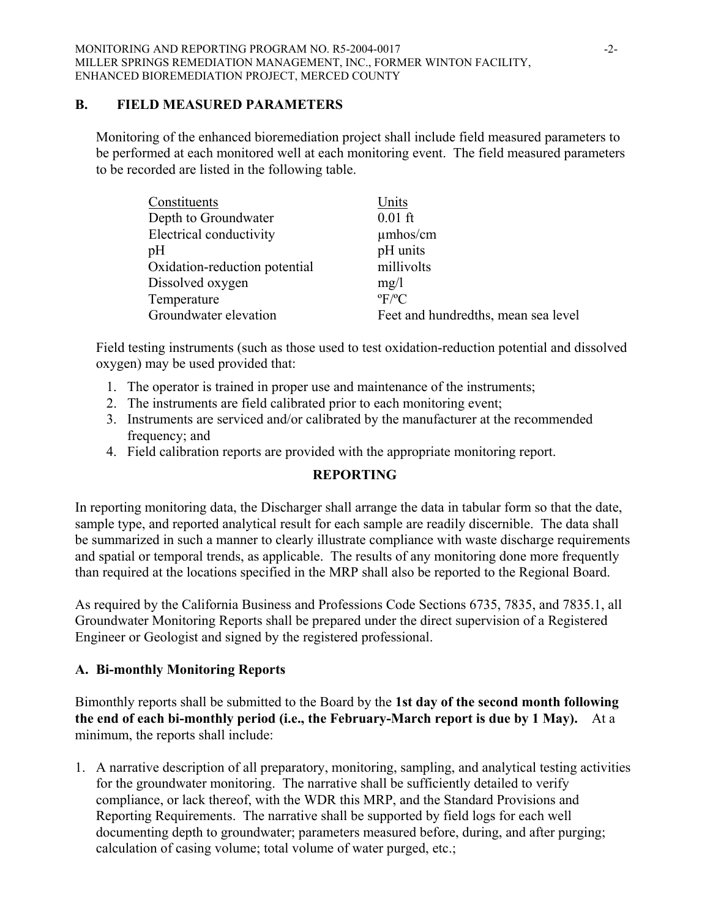#### **B. FIELD MEASURED PARAMETERS**

Monitoring of the enhanced bioremediation project shall include field measured parameters to be performed at each monitored well at each monitoring event. The field measured parameters to be recorded are listed in the following table.

| Constituents                  | Units                               |
|-------------------------------|-------------------------------------|
| Depth to Groundwater          | $0.01$ ft                           |
| Electrical conductivity       | $\mu$ mhos/cm                       |
| pH                            | pH units                            |
| Oxidation-reduction potential | millivolts                          |
| Dissolved oxygen              | mg/1                                |
| Temperature                   | $\mathrm{P}F/\mathrm{P}C$           |
| Groundwater elevation         | Feet and hundredths, mean sea level |

Field testing instruments (such as those used to test oxidation-reduction potential and dissolved oxygen) may be used provided that:

- 1. The operator is trained in proper use and maintenance of the instruments;
- 2. The instruments are field calibrated prior to each monitoring event;
- 3. Instruments are serviced and/or calibrated by the manufacturer at the recommended frequency: and
- 4. Field calibration reports are provided with the appropriate monitoring report.

# **REPORTING**

In reporting monitoring data, the Discharger shall arrange the data in tabular form so that the date, sample type, and reported analytical result for each sample are readily discernible. The data shall be summarized in such a manner to clearly illustrate compliance with waste discharge requirements and spatial or temporal trends, as applicable. The results of any monitoring done more frequently than required at the locations specified in the MRP shall also be reported to the Regional Board.

As required by the California Business and Professions Code Sections 6735, 7835, and 7835.1, all Groundwater Monitoring Reports shall be prepared under the direct supervision of a Registered Engineer or Geologist and signed by the registered professional.

# **A. Bi-monthly Monitoring Reports**

Bimonthly reports shall be submitted to the Board by the **1st day of the second month following the end of each bi-monthly period (i.e., the February-March report is due by 1 May).** At a minimum, the reports shall include:

1. A narrative description of all preparatory, monitoring, sampling, and analytical testing activities for the groundwater monitoring. The narrative shall be sufficiently detailed to verify compliance, or lack thereof, with the WDR this MRP, and the Standard Provisions and Reporting Requirements. The narrative shall be supported by field logs for each well documenting depth to groundwater; parameters measured before, during, and after purging; calculation of casing volume; total volume of water purged, etc.;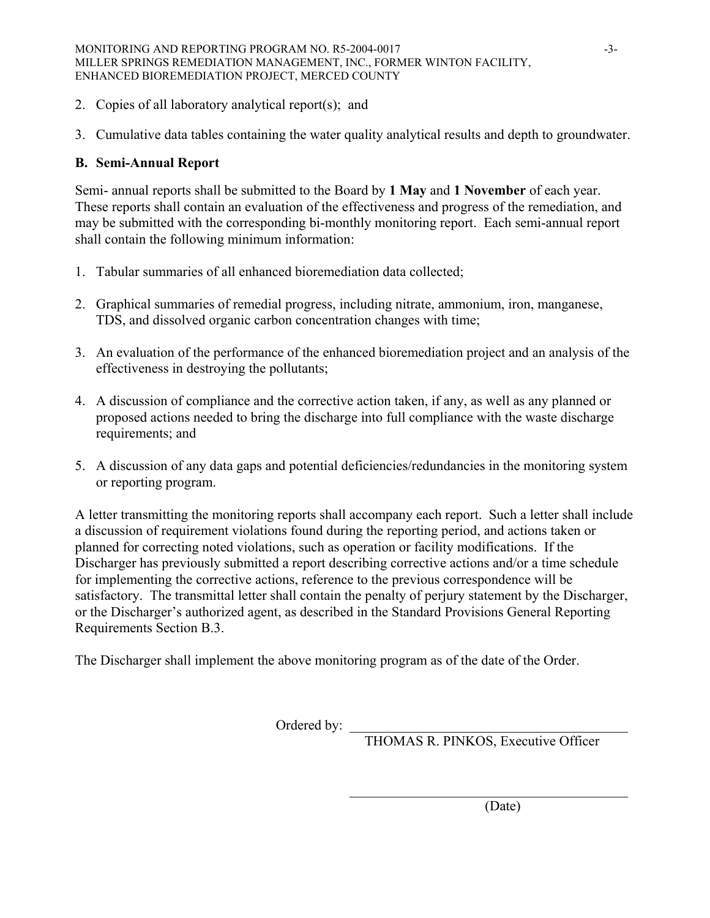- 2. Copies of all laboratory analytical report(s); and
- 3. Cumulative data tables containing the water quality analytical results and depth to groundwater.

## **B. Semi-Annual Report**

Semi- annual reports shall be submitted to the Board by **1 May** and **1 November** of each year. These reports shall contain an evaluation of the effectiveness and progress of the remediation, and may be submitted with the corresponding bi-monthly monitoring report. Each semi-annual report shall contain the following minimum information:

- 1. Tabular summaries of all enhanced bioremediation data collected;
- 2. Graphical summaries of remedial progress, including nitrate, ammonium, iron, manganese, TDS, and dissolved organic carbon concentration changes with time;
- 3. An evaluation of the performance of the enhanced bioremediation project and an analysis of the effectiveness in destroying the pollutants;
- 4. A discussion of compliance and the corrective action taken, if any, as well as any planned or proposed actions needed to bring the discharge into full compliance with the waste discharge requirements; and
- 5. A discussion of any data gaps and potential deficiencies/redundancies in the monitoring system or reporting program.

A letter transmitting the monitoring reports shall accompany each report. Such a letter shall include a discussion of requirement violations found during the reporting period, and actions taken or planned for correcting noted violations, such as operation or facility modifications. If the Discharger has previously submitted a report describing corrective actions and/or a time schedule for implementing the corrective actions, reference to the previous correspondence will be satisfactory. The transmittal letter shall contain the penalty of perjury statement by the Discharger, or the Discharger's authorized agent, as described in the Standard Provisions General Reporting Requirements Section B.3.

 $\mathcal{L}_\mathcal{L} = \{ \mathcal{L}_\mathcal{L} \mid \mathcal{L}_\mathcal{L} \in \mathcal{L}_\mathcal{L} \}$ 

The Discharger shall implement the above monitoring program as of the date of the Order.

Ordered by: \_

THOMAS R. PINKOS, Executive Officer

(Date)